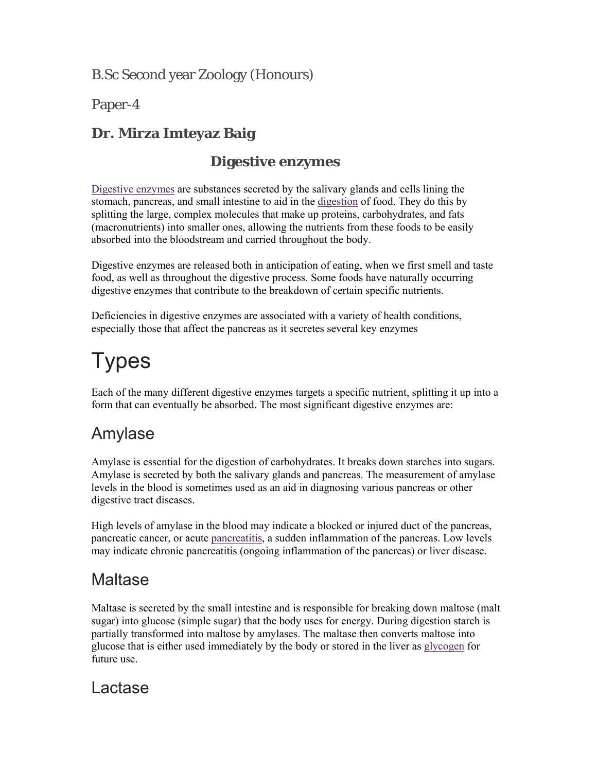B.Sc Second year Zoology (Honours)

Paper-4

#### **Dr. Mirza Imteyaz Baig**

#### **Digestive enzymes**

Digestive enzymes are substances secreted by the salivary glands and cells lining the stomach, pancreas, and small intestine to aid in the digestion of food. They do this by splitting the large, complex molecules that make up proteins, carbohydrates, and fats (macronutrients) into smaller ones, allowing the nutrients from these foods to be easily absorbed into the bloodstream and carried throughout the body.

Digestive enzymes are released both in anticipation of eating, when we first smell and taste food, as well as throughout the digestive process. Some foods have naturally occurring digestive enzymes that contribute to the breakdown of certain specific nutrients.

Deficiencies in digestive enzymes are associated with a variety of health conditions, especially those that affect the pancreas as it secretes several key enzymes

# **Types**

Each of the many different digestive enzymes targets a specific nutrient, splitting it up into a form that can eventually be absorbed. The most significant digestive enzymes are:

## Amylase

Amylase is essential for the digestion of carbohydrates. It breaks down starches into sugars. Amylase is secreted by both the salivary glands and pancreas. The measurement of amylase levels in the blood is sometimes used as an aid in diagnosing various pancreas or other digestive tract diseases.

High levels of amylase in the blood may indicate a blocked or injured duct of the pancreas, pancreatic cancer, or acute pancreatitis, a sudden inflammation of the pancreas. Low levels may indicate chronic pancreatitis (ongoing inflammation of the pancreas) or liver disease.

## Maltase

Maltase is secreted by the small intestine and is responsible for breaking down maltose (malt sugar) into glucose (simple sugar) that the body uses for energy. During digestion starch is partially transformed into maltose by amylases. The maltase then converts maltose into glucose that is either used immediately by the body or stored in the liver as glycogen for future use.

#### Lactase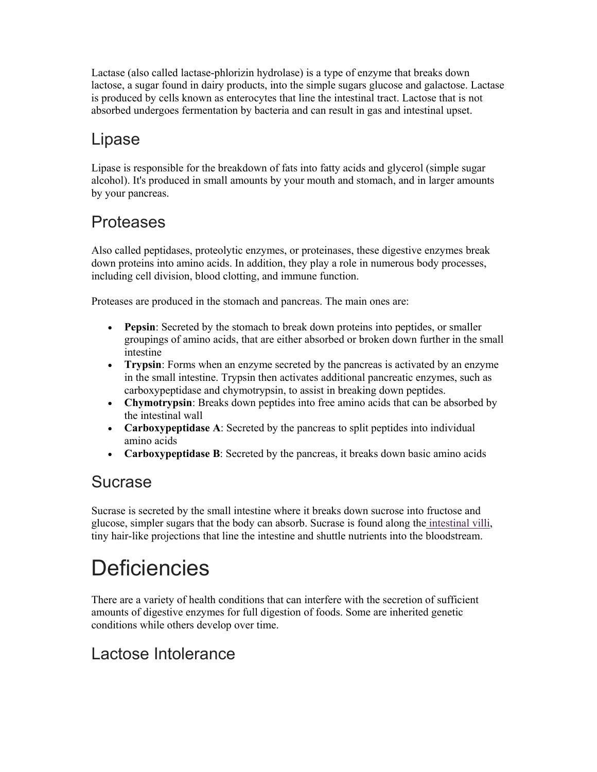Lactase (also called lactase-phlorizin hydrolase) is a type of enzyme that breaks down lactose, a sugar found in dairy products, into the simple sugars glucose and galactose. Lactase is produced by cells known as enterocytes that line the intestinal tract. Lactose that is not absorbed undergoes fermentation by bacteria and can result in gas and intestinal upset.

## Lipase

Lipase is responsible for the breakdown of fats into fatty acids and glycerol (simple sugar alcohol). It's produced in small amounts by your mouth and stomach, and in larger amounts by your pancreas.

## Proteases

Also called peptidases, proteolytic enzymes, or proteinases, these digestive enzymes break down proteins into amino acids. In addition, they play a role in numerous body processes, including cell division, blood clotting, and immune function.

Proteases are produced in the stomach and pancreas. The main ones are:

- **Pepsin**: Secreted by the stomach to break down proteins into peptides, or smaller groupings of amino acids, that are either absorbed or broken down further in the small intestine
- **Trypsin**: Forms when an enzyme secreted by the pancreas is activated by an enzyme in the small intestine. Trypsin then activates additional pancreatic enzymes, such as carboxypeptidase and chymotrypsin, to assist in breaking down peptides.
- **Chymotrypsin**: Breaks down peptides into free amino acids that can be absorbed by the intestinal wall
- **Carboxypeptidase A**: Secreted by the pancreas to split peptides into individual amino acids
- **Carboxypeptidase B**: Secreted by the pancreas, it breaks down basic amino acids

#### Sucrase

Sucrase is secreted by the small intestine where it breaks down sucrose into fructose and glucose, simpler sugars that the body can absorb. Sucrase is found along the intestinal villi, tiny hair-like projections that line the intestine and shuttle nutrients into the bloodstream.

## **Deficiencies**

There are a variety of health conditions that can interfere with the secretion of sufficient amounts of digestive enzymes for full digestion of foods. Some are inherited genetic conditions while others develop over time.

### Lactose Intolerance